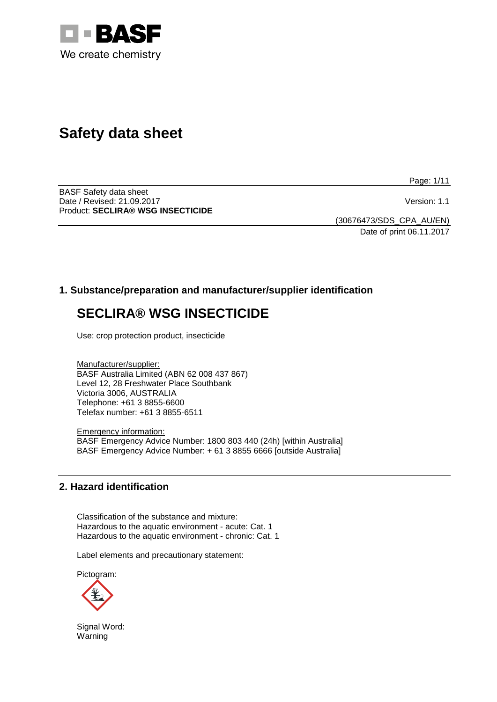

# **Safety data sheet**

Page: 1/11

BASF Safety data sheet Date / Revised: 21.09.2017 **Version: 1.1** Product: **SECLIRA® WSG INSECTICIDE**

(30676473/SDS\_CPA\_AU/EN) Date of print 06.11.2017

# **1. Substance/preparation and manufacturer/supplier identification**

# **SECLIRA® WSG INSECTICIDE**

Use: crop protection product, insecticide

Manufacturer/supplier: BASF Australia Limited (ABN 62 008 437 867) Level 12, 28 Freshwater Place Southbank Victoria 3006, AUSTRALIA Telephone: +61 3 8855-6600 Telefax number: +61 3 8855-6511

Emergency information: BASF Emergency Advice Number: 1800 803 440 (24h) [within Australia] BASF Emergency Advice Number: + 61 3 8855 6666 [outside Australia]

## **2. Hazard identification**

Classification of the substance and mixture: Hazardous to the aquatic environment - acute: Cat. 1 Hazardous to the aquatic environment - chronic: Cat. 1

Label elements and precautionary statement:

Pictogram:



Signal Word: Warning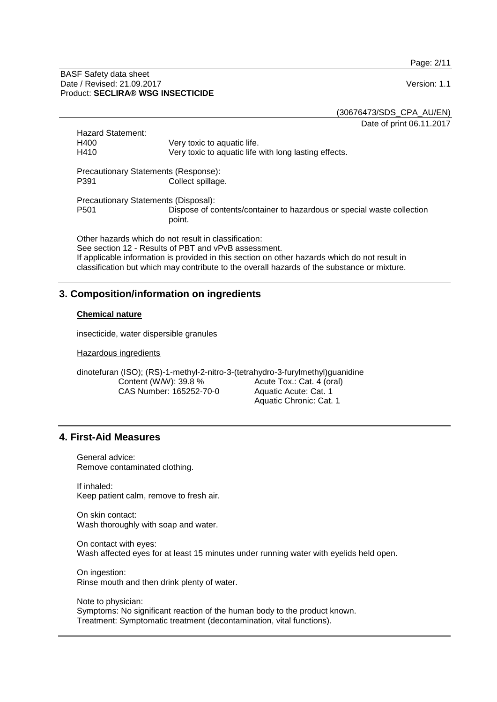Page: 2/11

#### BASF Safety data sheet Date / Revised: 21.09.2017 **Version: 1.1** Product: **SECLIRA® WSG INSECTICIDE**

(30676473/SDS\_CPA\_AU/EN)

Date of print 06.11.2017

| <b>Hazard Statement:</b><br>H400<br>H410                                                                                                                                                                                                                                                                     | Very toxic to aquatic life.<br>Very toxic to aquatic life with long lasting effects. |  |
|--------------------------------------------------------------------------------------------------------------------------------------------------------------------------------------------------------------------------------------------------------------------------------------------------------------|--------------------------------------------------------------------------------------|--|
| Precautionary Statements (Response):<br>Collect spillage.<br>P391                                                                                                                                                                                                                                            |                                                                                      |  |
| Precautionary Statements (Disposal):                                                                                                                                                                                                                                                                         |                                                                                      |  |
| P <sub>501</sub>                                                                                                                                                                                                                                                                                             | Dispose of contents/container to hazardous or special waste collection<br>point.     |  |
| Other hazards which do not result in classification:<br>See section 12 - Results of PBT and vPvB assessment.<br>If applicable information is provided in this section on other hazards which do not result in<br>classification but which may contribute to the overall hazards of the substance or mixture. |                                                                                      |  |

## **3. Composition/information on ingredients**

#### **Chemical nature**

insecticide, water dispersible granules

Hazardous ingredients

dinotefuran (ISO); (RS)-1-methyl-2-nitro-3-(tetrahydro-3-furylmethyl)guanidine Content (W/W): 39.8 % CAS Number: 165252-70-0 Acute Tox.: Cat. 4 (oral) Aquatic Acute: Cat. 1 Aquatic Chronic: Cat. 1

## **4. First-Aid Measures**

General advice: Remove contaminated clothing.

If inhaled: Keep patient calm, remove to fresh air.

On skin contact: Wash thoroughly with soap and water.

On contact with eyes: Wash affected eyes for at least 15 minutes under running water with eyelids held open.

On ingestion: Rinse mouth and then drink plenty of water.

Note to physician: Symptoms: No significant reaction of the human body to the product known. Treatment: Symptomatic treatment (decontamination, vital functions).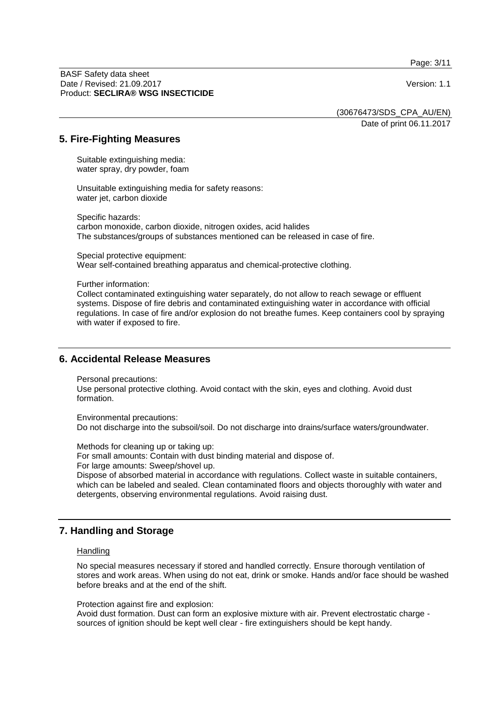Page: 3/11

BASF Safety data sheet Date / Revised: 21.09.2017 **Version: 1.1** Product: **SECLIRA® WSG INSECTICIDE**

(30676473/SDS\_CPA\_AU/EN)

Date of print 06.11.2017

## **5. Fire-Fighting Measures**

Suitable extinguishing media: water spray, dry powder, foam

Unsuitable extinguishing media for safety reasons: water jet, carbon dioxide

Specific hazards: carbon monoxide, carbon dioxide, nitrogen oxides, acid halides The substances/groups of substances mentioned can be released in case of fire.

Special protective equipment: Wear self-contained breathing apparatus and chemical-protective clothing.

Further information:

Collect contaminated extinguishing water separately, do not allow to reach sewage or effluent systems. Dispose of fire debris and contaminated extinguishing water in accordance with official regulations. In case of fire and/or explosion do not breathe fumes. Keep containers cool by spraying with water if exposed to fire.

## **6. Accidental Release Measures**

Personal precautions:

Use personal protective clothing. Avoid contact with the skin, eyes and clothing. Avoid dust formation.

Environmental precautions: Do not discharge into the subsoil/soil. Do not discharge into drains/surface waters/groundwater.

Methods for cleaning up or taking up:

For small amounts: Contain with dust binding material and dispose of.

For large amounts: Sweep/shovel up.

Dispose of absorbed material in accordance with regulations. Collect waste in suitable containers, which can be labeled and sealed. Clean contaminated floors and objects thoroughly with water and detergents, observing environmental regulations. Avoid raising dust.

## **7. Handling and Storage**

#### **Handling**

No special measures necessary if stored and handled correctly. Ensure thorough ventilation of stores and work areas. When using do not eat, drink or smoke. Hands and/or face should be washed before breaks and at the end of the shift.

Protection against fire and explosion:

Avoid dust formation. Dust can form an explosive mixture with air. Prevent electrostatic charge sources of ignition should be kept well clear - fire extinguishers should be kept handy.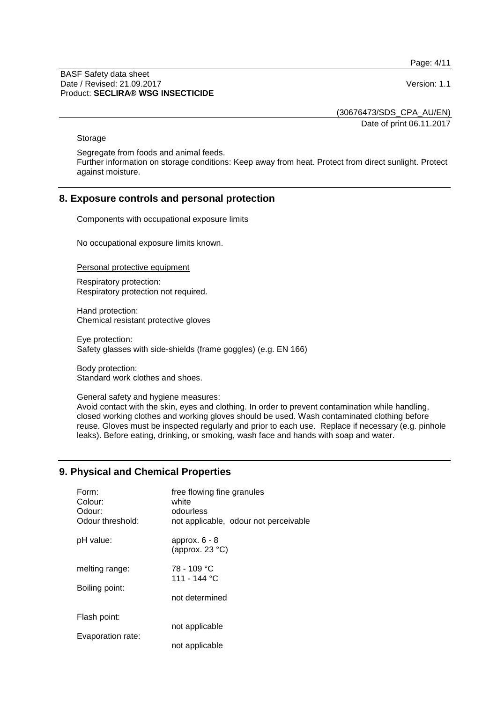Page: 4/11

BASF Safety data sheet Date / Revised: 21.09.2017 **Version: 1.1** Product: **SECLIRA® WSG INSECTICIDE**

(30676473/SDS\_CPA\_AU/EN)

Date of print 06.11.2017

#### **Storage**

Segregate from foods and animal feeds.

Further information on storage conditions: Keep away from heat. Protect from direct sunlight. Protect against moisture.

## **8. Exposure controls and personal protection**

Components with occupational exposure limits

No occupational exposure limits known.

Personal protective equipment

Respiratory protection: Respiratory protection not required.

Hand protection: Chemical resistant protective gloves

Eye protection: Safety glasses with side-shields (frame goggles) (e.g. EN 166)

Body protection: Standard work clothes and shoes.

General safety and hygiene measures:

Avoid contact with the skin, eyes and clothing. In order to prevent contamination while handling, closed working clothes and working gloves should be used. Wash contaminated clothing before reuse. Gloves must be inspected regularly and prior to each use. Replace if necessary (e.g. pinhole leaks). Before eating, drinking, or smoking, wash face and hands with soap and water.

# **9. Physical and Chemical Properties**

| Form:<br>Colour:<br>Odour:<br>Odour threshold: | free flowing fine granules<br>white<br>odourless<br>not applicable, odour not perceivable |
|------------------------------------------------|-------------------------------------------------------------------------------------------|
| pH value:                                      | approx. $6 - 8$<br>(approx. $23 °C$ )                                                     |
| melting range:                                 | 78 - 109 °C<br>111 - 144 °C                                                               |
| Boiling point:                                 | not determined                                                                            |
| Flash point:                                   |                                                                                           |
| Evaporation rate:                              | not applicable                                                                            |
|                                                | not applicable                                                                            |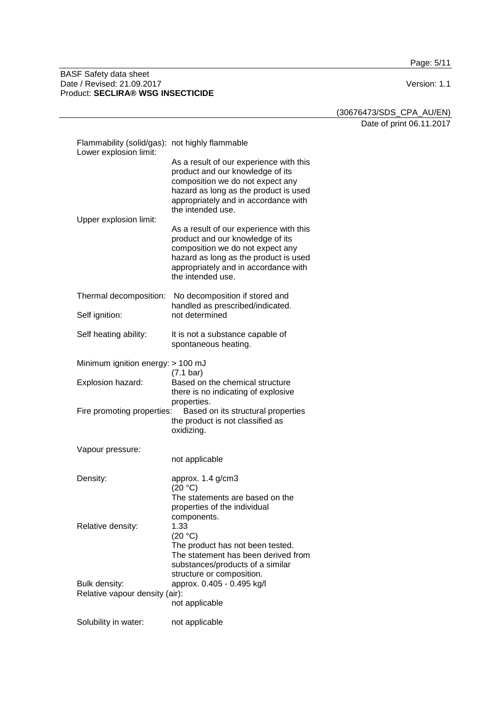Page: 5/11

#### BASF Safety data sheet Date / Revised: 21.09.2017 Version: 1.1 Product: **SECLIRA® WSG INSECTICIDE**

(30676473/SDS\_CPA\_AU/EN)

Date of print 06.11.2017

| Flammability (solid/gas): not highly flammable<br>Lower explosion limit: |                                                                                                                                                                                                                       |  |
|--------------------------------------------------------------------------|-----------------------------------------------------------------------------------------------------------------------------------------------------------------------------------------------------------------------|--|
|                                                                          | As a result of our experience with this<br>product and our knowledge of its<br>composition we do not expect any<br>hazard as long as the product is used<br>appropriately and in accordance with<br>the intended use. |  |
| Upper explosion limit:                                                   | As a result of our experience with this<br>product and our knowledge of its<br>composition we do not expect any<br>hazard as long as the product is used<br>appropriately and in accordance with<br>the intended use. |  |
| Thermal decomposition:                                                   | No decomposition if stored and<br>handled as prescribed/indicated.                                                                                                                                                    |  |
| Self ignition:                                                           | not determined                                                                                                                                                                                                        |  |
| Self heating ability:                                                    | It is not a substance capable of<br>spontaneous heating.                                                                                                                                                              |  |
| Minimum ignition energy: > 100 mJ                                        | $(7.1 \text{ bar})$                                                                                                                                                                                                   |  |
| Explosion hazard:                                                        | Based on the chemical structure<br>there is no indicating of explosive<br>properties.                                                                                                                                 |  |
| Fire promoting properties:                                               | Based on its structural properties<br>the product is not classified as<br>oxidizing.                                                                                                                                  |  |
| Vapour pressure:                                                         | not applicable                                                                                                                                                                                                        |  |
| Density:                                                                 | approx. 1.4 g/cm3<br>(20 °C)<br>The statements are based on the<br>properties of the individual                                                                                                                       |  |
| Relative density:                                                        | components.<br>1.33<br>(20 °C)<br>The product has not been tested.<br>The statement has been derived from<br>substances/products of a similar<br>structure or composition.                                            |  |
| Bulk density:<br>Relative vapour density (air):                          | approx. 0.405 - 0.495 kg/l<br>not applicable                                                                                                                                                                          |  |
| Solubility in water:                                                     | not applicable                                                                                                                                                                                                        |  |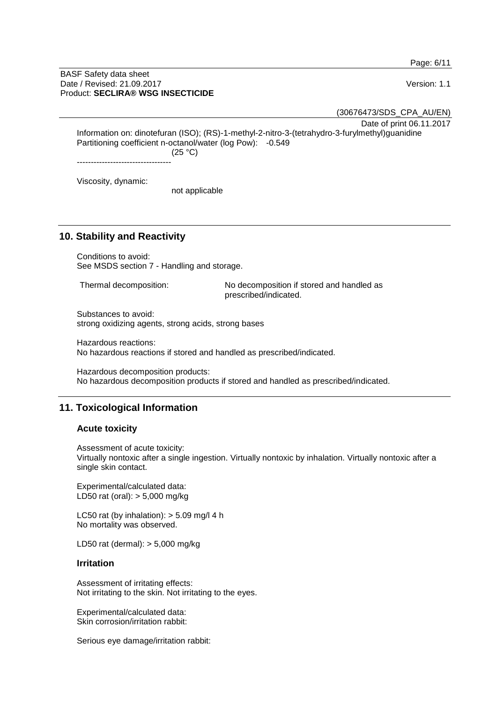Page: 6/11

#### BASF Safety data sheet Date / Revised: 21.09.2017 **Version: 1.1** Product: **SECLIRA® WSG INSECTICIDE**

(30676473/SDS\_CPA\_AU/EN)

Date of print 06.11.2017

Information on: dinotefuran (ISO); (RS)-1-methyl-2-nitro-3-(tetrahydro-3-furylmethyl)guanidine Partitioning coefficient n-octanol/water (log Pow): -0.549 (25 °C)

----------------------------------

Viscosity, dynamic:

not applicable

## **10. Stability and Reactivity**

Conditions to avoid: See MSDS section 7 - Handling and storage.

Thermal decomposition: No decomposition if stored and handled as prescribed/indicated.

Substances to avoid: strong oxidizing agents, strong acids, strong bases

Hazardous reactions: No hazardous reactions if stored and handled as prescribed/indicated.

Hazardous decomposition products: No hazardous decomposition products if stored and handled as prescribed/indicated.

# **11. Toxicological Information**

## **Acute toxicity**

Assessment of acute toxicity:

Virtually nontoxic after a single ingestion. Virtually nontoxic by inhalation. Virtually nontoxic after a single skin contact.

Experimental/calculated data: LD50 rat (oral): > 5,000 mg/kg

LC50 rat (by inhalation):  $>$  5.09 mg/l 4 h No mortality was observed.

LD50 rat (dermal): > 5,000 mg/kg

## **Irritation**

Assessment of irritating effects: Not irritating to the skin. Not irritating to the eyes.

Experimental/calculated data: Skin corrosion/irritation rabbit:

Serious eye damage/irritation rabbit: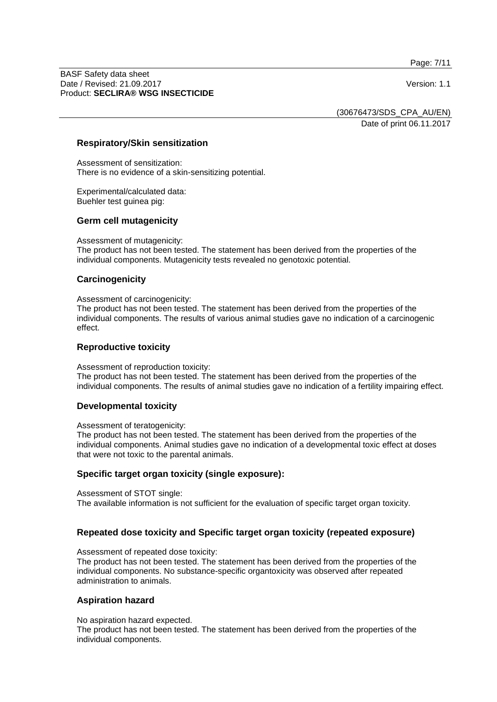Page: 7/11

BASF Safety data sheet Date / Revised: 21.09.2017 **Version: 1.1** Product: **SECLIRA® WSG INSECTICIDE**

(30676473/SDS\_CPA\_AU/EN)

Date of print 06.11.2017

## **Respiratory/Skin sensitization**

Assessment of sensitization: There is no evidence of a skin-sensitizing potential.

Experimental/calculated data: Buehler test guinea pig:

## **Germ cell mutagenicity**

Assessment of mutagenicity:

The product has not been tested. The statement has been derived from the properties of the individual components. Mutagenicity tests revealed no genotoxic potential.

## **Carcinogenicity**

Assessment of carcinogenicity:

The product has not been tested. The statement has been derived from the properties of the individual components. The results of various animal studies gave no indication of a carcinogenic effect.

## **Reproductive toxicity**

Assessment of reproduction toxicity:

The product has not been tested. The statement has been derived from the properties of the individual components. The results of animal studies gave no indication of a fertility impairing effect.

## **Developmental toxicity**

Assessment of teratogenicity:

The product has not been tested. The statement has been derived from the properties of the individual components. Animal studies gave no indication of a developmental toxic effect at doses that were not toxic to the parental animals.

## **Specific target organ toxicity (single exposure):**

Assessment of STOT single:

The available information is not sufficient for the evaluation of specific target organ toxicity.

## **Repeated dose toxicity and Specific target organ toxicity (repeated exposure)**

Assessment of repeated dose toxicity:

The product has not been tested. The statement has been derived from the properties of the individual components. No substance-specific organtoxicity was observed after repeated administration to animals.

## **Aspiration hazard**

No aspiration hazard expected.

The product has not been tested. The statement has been derived from the properties of the individual components.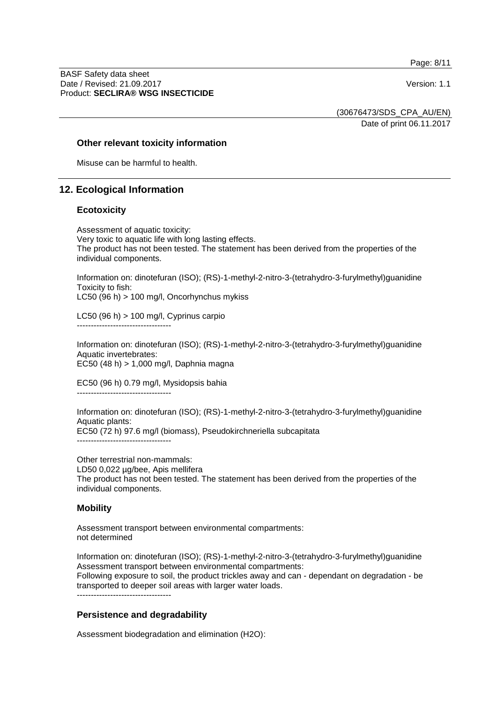Page: 8/11

BASF Safety data sheet Date / Revised: 21.09.2017 **Version: 1.1** Product: **SECLIRA® WSG INSECTICIDE**

(30676473/SDS\_CPA\_AU/EN)

Date of print 06.11.2017

## **Other relevant toxicity information**

Misuse can be harmful to health.

## **12. Ecological Information**

## **Ecotoxicity**

Assessment of aquatic toxicity: Very toxic to aquatic life with long lasting effects. The product has not been tested. The statement has been derived from the properties of the individual components.

Information on: dinotefuran (ISO); (RS)-1-methyl-2-nitro-3-(tetrahydro-3-furylmethyl)guanidine Toxicity to fish:

LC50 (96 h) > 100 mg/l, Oncorhynchus mykiss

LC50 (96 h) > 100 mg/l, Cyprinus carpio ----------------------------------

Information on: dinotefuran (ISO); (RS)-1-methyl-2-nitro-3-(tetrahydro-3-furylmethyl)guanidine Aquatic invertebrates: EC50 (48 h) > 1,000 mg/l, Daphnia magna

EC50 (96 h) 0.79 mg/l, Mysidopsis bahia ----------------------------------

Information on: dinotefuran (ISO); (RS)-1-methyl-2-nitro-3-(tetrahydro-3-furylmethyl)guanidine Aquatic plants: EC50 (72 h) 97.6 mg/l (biomass), Pseudokirchneriella subcapitata ----------------------------------

Other terrestrial non-mammals: LD50 0,022 µg/bee, Apis mellifera The product has not been tested. The statement has been derived from the properties of the individual components.

## **Mobility**

Assessment transport between environmental compartments: not determined

Information on: dinotefuran (ISO); (RS)-1-methyl-2-nitro-3-(tetrahydro-3-furylmethyl)guanidine Assessment transport between environmental compartments:

Following exposure to soil, the product trickles away and can - dependant on degradation - be transported to deeper soil areas with larger water loads.

----------------------------------

## **Persistence and degradability**

Assessment biodegradation and elimination (H2O):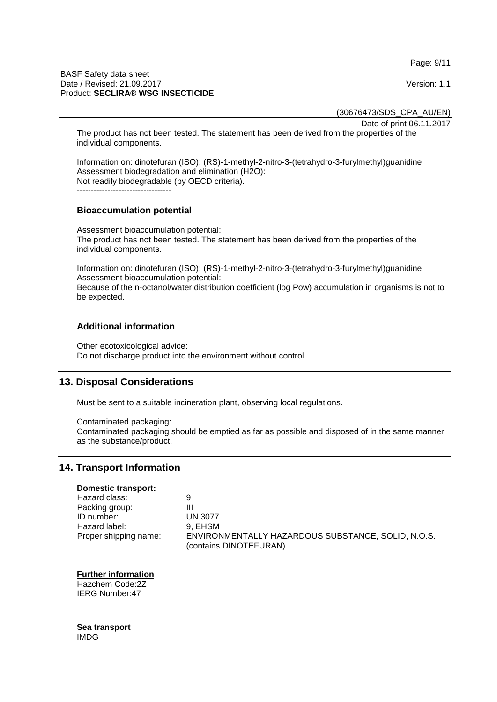Page: 9/11

#### BASF Safety data sheet Date / Revised: 21.09.2017 **Version: 1.1** Product: **SECLIRA® WSG INSECTICIDE**

(30676473/SDS\_CPA\_AU/EN)

Date of print 06.11.2017

The product has not been tested. The statement has been derived from the properties of the individual components.

Information on: dinotefuran (ISO); (RS)-1-methyl-2-nitro-3-(tetrahydro-3-furylmethyl)guanidine Assessment biodegradation and elimination (H2O): Not readily biodegradable (by OECD criteria). ----------------------------------

## **Bioaccumulation potential**

Assessment bioaccumulation potential: The product has not been tested. The statement has been derived from the properties of the individual components.

Information on: dinotefuran (ISO); (RS)-1-methyl-2-nitro-3-(tetrahydro-3-furylmethyl)guanidine Assessment bioaccumulation potential: Because of the n-octanol/water distribution coefficient (log Pow) accumulation in organisms is not to be expected.

----------------------------------

## **Additional information**

Other ecotoxicological advice: Do not discharge product into the environment without control.

## **13. Disposal Considerations**

Must be sent to a suitable incineration plant, observing local regulations.

Contaminated packaging: Contaminated packaging should be emptied as far as possible and disposed of in the same manner as the substance/product.

## **14. Transport Information**

## **Domestic transport:**

| Hazard class:         | 9                                                                            |
|-----------------------|------------------------------------------------------------------------------|
| Packing group:        | Ш                                                                            |
| ID number:            | <b>UN 3077</b>                                                               |
| Hazard label:         | 9. EHSM                                                                      |
| Proper shipping name: | ENVIRONMENTALLY HAZARDOUS SUBSTANCE, SOLID, N.O.S.<br>(contains DINOTEFURAN) |

#### **Further information**

Hazchem Code:2Z IERG Number:47

**Sea transport** IMDG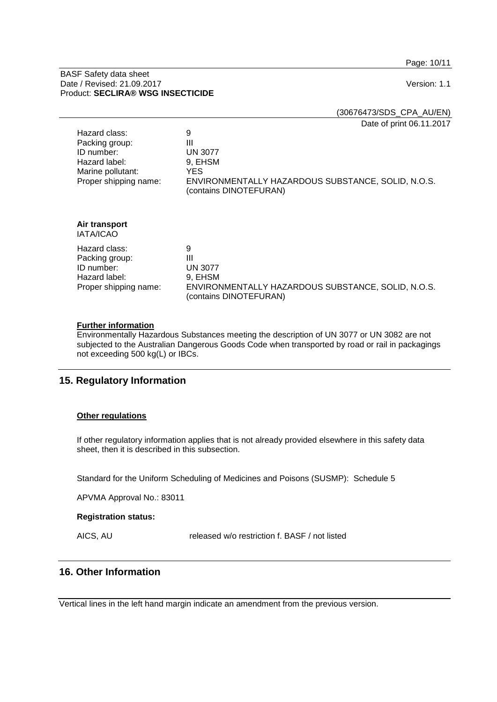Page: 10/11

#### BASF Safety data sheet Date / Revised: 21.09.2017 **Version: 1.1** Product: **SECLIRA® WSG INSECTICIDE**

(30676473/SDS\_CPA\_AU/EN)

Date of print 06.11.2017

| Hazard class:<br>Packing group:<br>ID number:<br>Hazard label:<br>Marine pollutant:<br>Proper shipping name: | 9<br>Ш<br><b>UN 3077</b><br>9, EHSM<br>YES.<br>ENVIRONMENTALLY HAZARDOUS SUBSTANCE, SOLID, N.O.S.<br>(contains DINOTEFURAN) |
|--------------------------------------------------------------------------------------------------------------|-----------------------------------------------------------------------------------------------------------------------------|
| Air transport<br><b>IATA/ICAO</b>                                                                            |                                                                                                                             |
| Hazard class:<br>Packing group:<br>ID number:<br>Hazard label:<br>Proper shipping name:                      | 9<br>Ш<br><b>UN 3077</b><br>9, EHSM<br>ENVIRONMENTALLY HAZARDOUS SUBSTANCE, SOLID, N.O.S.<br>(contains DINOTEFURAN)         |

## **Further information**

Environmentally Hazardous Substances meeting the description of UN 3077 or UN 3082 are not subjected to the Australian Dangerous Goods Code when transported by road or rail in packagings not exceeding 500 kg(L) or IBCs.

# **15. Regulatory Information**

## **Other regulations**

If other regulatory information applies that is not already provided elsewhere in this safety data sheet, then it is described in this subsection.

Standard for the Uniform Scheduling of Medicines and Poisons (SUSMP): Schedule 5

APVMA Approval No.: 83011

#### **Registration status:**

AICS, AU released w/o restriction f. BASF / not listed

# **16. Other Information**

Vertical lines in the left hand margin indicate an amendment from the previous version.